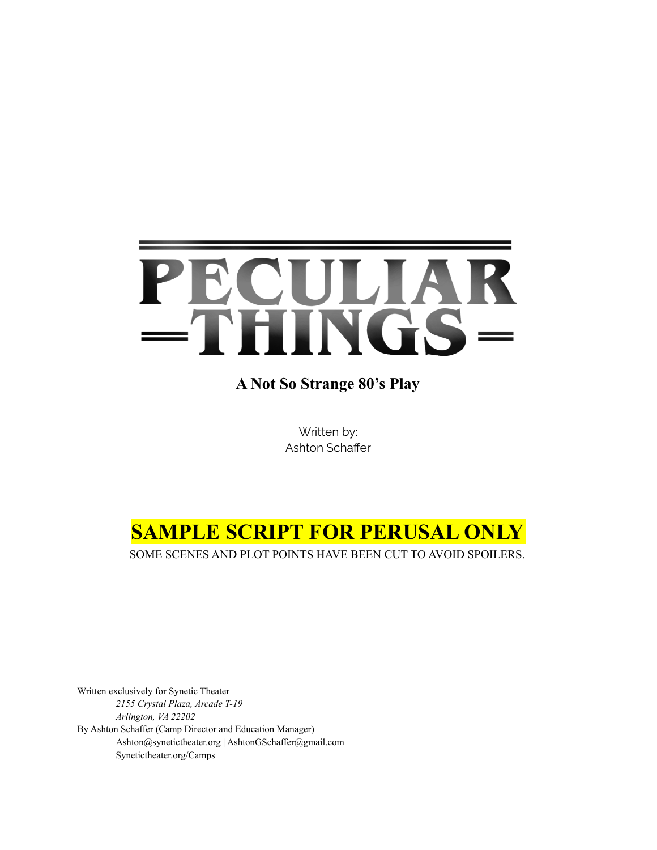# PECULIAR<br>=THINGS=

**A Not So Strange 80's Play**

Written by: Ashton Schaffer

## **SAMPLE SCRIPT FOR PERUSAL ONLY**

SOME SCENES AND PLOT POINTS HAVE BEEN CUT TO AVOID SPOILERS.

Written exclusively for Synetic Theater *2155 Crystal Plaza, Arcade T-19 Arlington, VA 22202* By Ashton Schaffer (Camp Director and Education Manager) Ashton@synetictheater.org | AshtonGSchaffer@gmail.com Synetictheater.org/Camps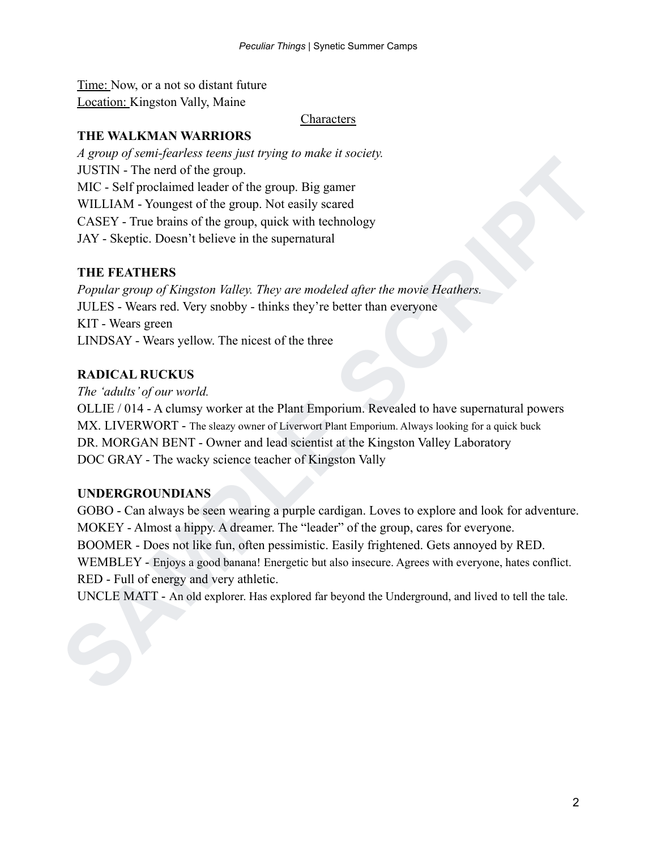Time: Now, or a not so distant future Location: Kingston Vally, Maine

**Characters** 

#### **THE WALKMAN WARRIORS**

*A group of semi-fearless teens just trying to make it society.* JUSTIN - The nerd of the group. MIC - Self proclaimed leader of the group. Big gamer WILLIAM - Youngest of the group. Not easily scared CASEY - True brains of the group, quick with technology JAY - Skeptic. Doesn't believe in the supernatural

#### **THE FEATHERS**

*Popular group of Kingston Valley. They are modeled after the movie Heathers.* JULES - Wears red. Very snobby - thinks they're better than everyone KIT - Wears green LINDSAY - Wears yellow. The nicest of the three

#### **RADICAL RUCKUS**

*The 'adults' of our world.*

OLLIE / 014 - A clumsy worker at the Plant Emporium. Revealed to have supernatural powers MX. LIVERWORT - The sleazy owner of Liverwort Plant Emporium. Always looking for a quick buck DR. MORGAN BENT - Owner and lead scientist at the Kingston Valley Laboratory DOC GRAY - The wacky science teacher of Kingston Vally

#### **UNDERGROUNDIANS**

**SAMPLE Scrib Procedure Scrib Scrib Scrib Scrib Scrib Scrib Scrib Scrib Scrib Scrib Scrib Scrib Scrib Scrib Scrib Scrib Scrib Scrib Scrib Scrib Scrib Scrib Scrib Scrib Scrib Scrib Scrib Scrib Scrib Scrib Scrib Scrib Scrib** GOBO - Can always be seen wearing a purple cardigan. Loves to explore and look for adventure. MOKEY - Almost a hippy. A dreamer. The "leader" of the group, cares for everyone. BOOMER - Does not like fun, often pessimistic. Easily frightened. Gets annoyed by RED. WEMBLEY - Enjoys a good banana! Energetic but also insecure. Agrees with everyone, hates conflict. RED - Full of energy and very athletic.

UNCLE MATT - An old explorer. Has explored far beyond the Underground, and lived to tell the tale.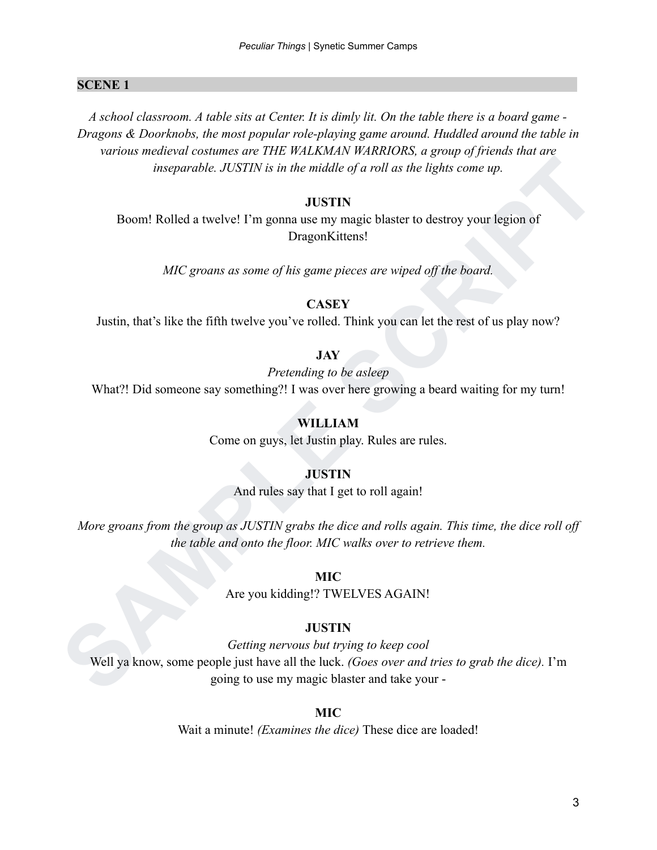#### **SCENE 1 .**

*A school classroom. A table sits at Center. It is dimly lit. On the table there is a board game - Dragons & Doorknobs, the most popular role-playing game around. Huddled around the table in various medieval costumes are THE WALKMAN WARRIORS, a group of friends that are inseparable. JUSTIN is in the middle of a roll as the lights come up.*

#### **JUSTIN**

Boom! Rolled a twelve! I'm gonna use my magic blaster to destroy your legion of DragonKittens!

*MIC groans as some of his game pieces are wiped off the board.*

#### **CASEY**

Justin, that's like the fifth twelve you've rolled. Think you can let the rest of us play now?

#### **JAY**

*Pretending to be asleep*

What?! Did someone say something?! I was over here growing a beard waiting for my turn!

#### **WILLIAM**

Come on guys, let Justin play. Rules are rules.

#### **JUSTIN**

And rules say that I get to roll again!

*More groans from the group as JUSTIN grabs the dice and rolls again. This time, the dice roll off the table and onto the floor. MIC walks over to retrieve them.*

#### **MIC**

Are you kidding!? TWELVES AGAIN!

#### **JUSTIN**

**SAMPLE SCRIPT** *Getting nervous but trying to keep cool* Well ya know, some people just have all the luck. *(Goes over and tries to grab the dice).* I'm going to use my magic blaster and take your -

#### **MIC**

Wait a minute! *(Examines the dice)* These dice are loaded!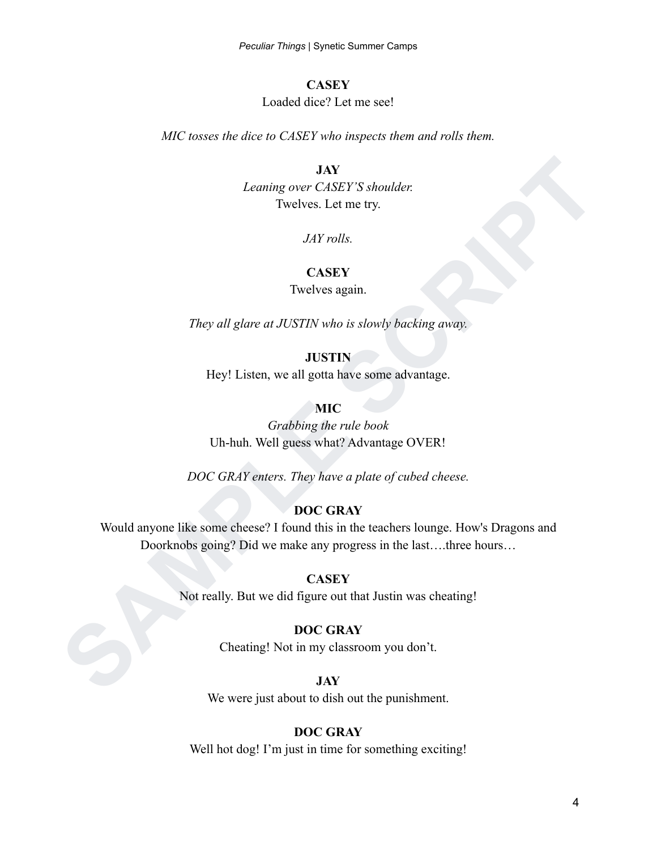#### **CASEY**

#### Loaded dice? Let me see!

*MIC tosses the dice to CASEY who inspects them and rolls them.*

#### **JAY**

*Leaning over CASEY'S shoulder.* Twelves. Let me try.

*JAY rolls.*

#### **CASEY**

#### Twelves again.

*They all glare at JUSTIN who is slowly backing away.*

**JUSTIN**

Hey! Listen, we all gotta have some advantage.

#### **MIC**

*Grabbing the rule book* Uh-huh. Well guess what? Advantage OVER!

*DOC GRAY enters. They have a plate of cubed cheese.*

#### **DOC GRAY**

**SAMPLE Schoolder:**<br>
Twelves. Let me try.<br>
They all glare at JUSTIN who is slowly backing away.<br>
They all glare at JUSTIN who is slowly backing away.<br> **SAMPLE SCRIPT SCRIPT SCRIPT SCRIPT**<br> **SAMPLE SCRIPT SCRIPT SCRIPT SCRI** Would anyone like some cheese? I found this in the teachers lounge. How's Dragons and Doorknobs going? Did we make any progress in the last….three hours…

#### **CASEY**

Not really. But we did figure out that Justin was cheating!

#### **DOC GRAY**

Cheating! Not in my classroom you don't.

#### **JAY**

We were just about to dish out the punishment.

#### **DOC GRAY**

Well hot dog! I'm just in time for something exciting!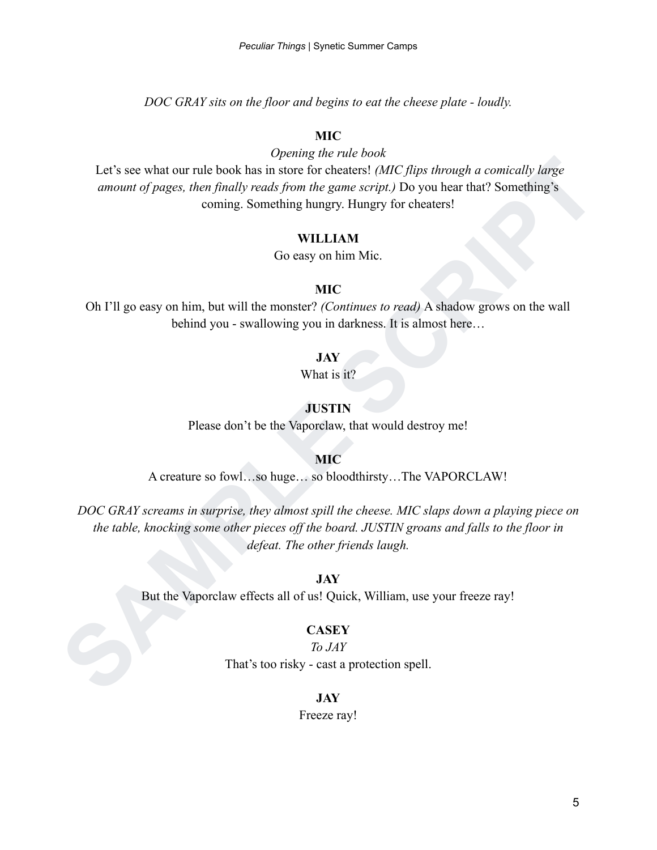*DOC GRAY sits on the floor and begins to eat the cheese plate - loudly.*

#### **MIC**

*Opening the rule book*

Let's see what our rule book has in store for cheaters! *(MIC flips through a comically large amount of pages, then finally reads from the game script.)* Do you hear that? Something's coming. Something hungry. Hungry for cheaters!

#### **WILLIAM**

Go easy on him Mic.

#### **MIC**

Oh I'll go easy on him, but will the monster? *(Continues to read)* A shadow grows on the wall behind you - swallowing you in darkness. It is almost here…

#### **JAY**

What is it?

#### **JUSTIN**

Please don't be the Vaporclaw, that would destroy me!

**MIC**

A creature so fowl…so huge… so bloodthirsty…The VAPORCLAW!

Let's see what our rule book has in store for cheaters! *(AIC, flips through a comically large amount of pages, then finally reads from the game script). Do you hear that? Something's<br>
coming. Something hungry, Finapy for DOC GRAY screams in surprise, they almost spill the cheese. MIC slaps down a playing piece on the table, knocking some other pieces off the board. JUSTIN groans and falls to the floor in defeat. The other friends laugh.*

**JAY**

But the Vaporclaw effects all of us! Quick, William, use your freeze ray!

#### **CASEY**

*To JAY* That's too risky - cast a protection spell.

#### **JAY**

Freeze ray!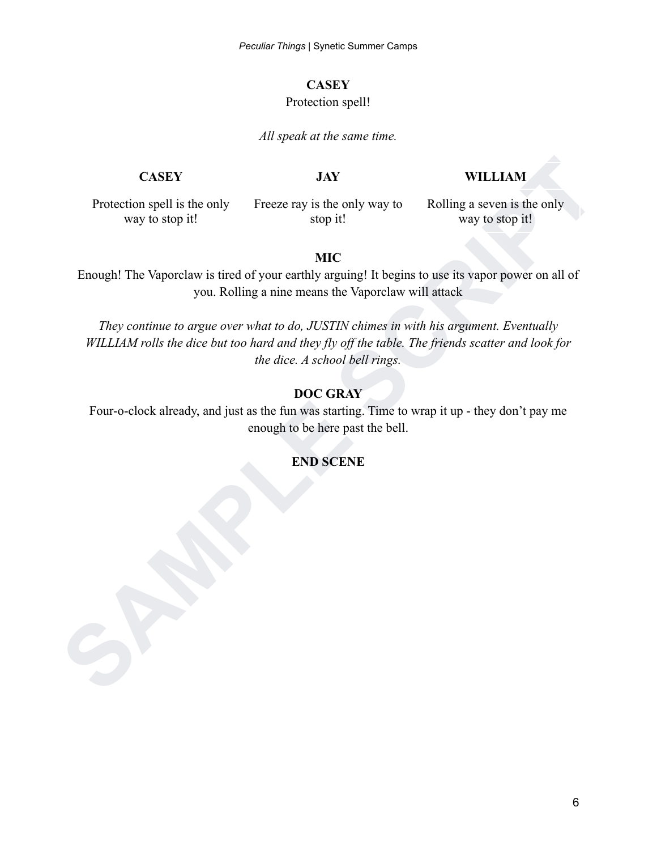#### **CASEY**

#### Protection spell!

#### *All speak at the same time.*

#### **CASEY JAY WILLIAM**

Protection spell is the only way to stop it!

Freeze ray is the only way to stop it!

Rolling a seven is the only way to stop it!

#### **MIC**

Enough! The Vaporclaw is tired of your earthly arguing! It begins to use its vapor power on all of you. Rolling a nine means the Vaporclaw will attack

**SAMPLE STAND PROCESS THE STAND PROCESS OF THE SERIES AND SOLUTION TO THE SCRIPT SCRIPT SCRIPT SCRIPT SCRIPT SCRIPT SCRIPT SCRIPT SCRIPT SCRIPT SCRIPT SCRIPT SCRIPT SCRIPT SCRIPT SCRIPT SCRIPT SCRIPT SCRIPT SCRIPT SCRIPT S** *They continue to argue over what to do, JUSTIN chimes in with his argument. Eventually WILLIAM rolls the dice but too hard and they fly off the table. The friends scatter and look for the dice. A school bell rings.*

#### **DOC GRAY**

Four-o-clock already, and just as the fun was starting. Time to wrap it up - they don't pay me enough to be here past the bell.

#### **END SCENE**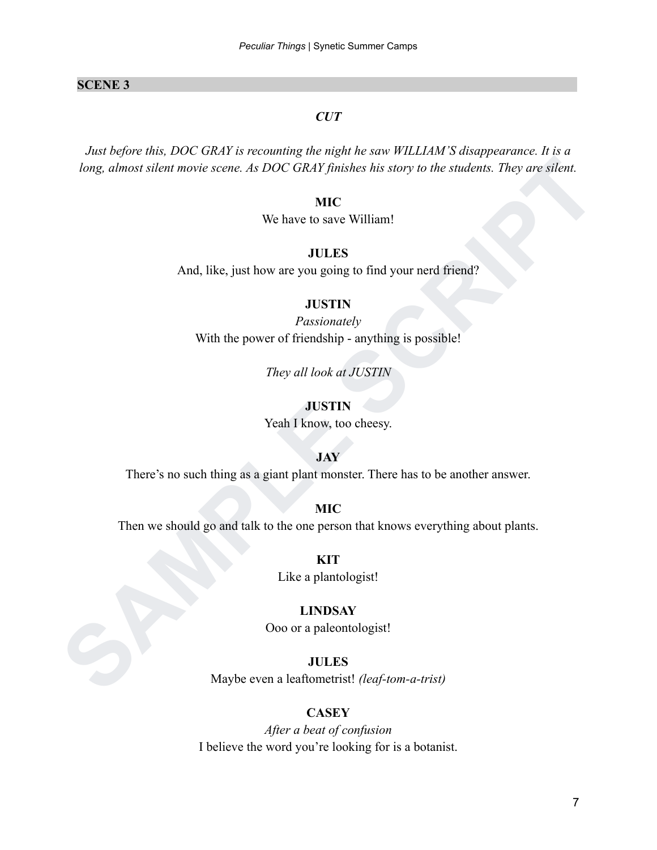#### **SCENE 3 .**

#### *CUT*

*Song, alimost silent movie scene. As DOC GRAY function has story to the students. They are silent.*<br> **SAMPLE SCRIPT WAS ALTER AND SURFATE AND ALTER THE SCRIPT CONSULTER**<br> **SAMPLE SCRIPT**<br> **SAMPLE SCRIPT CONSULTING THE SCR** *Just before this, DOC GRAY is recounting the night he saw WILLIAM'S disappearance. It is a long, almost silent movie scene. As DOC GRAY finishes his story to the students. They are silent.*

#### **MIC**

We have to save William!

#### **JULES**

And, like, just how are you going to find your nerd friend?

#### **JUSTIN**

*Passionately* With the power of friendship - anything is possible!

*They all look at JUSTIN*

#### **JUSTIN**

Yeah I know, too cheesy.

#### **JAY**

There's no such thing as a giant plant monster. There has to be another answer.

#### **MIC**

Then we should go and talk to the one person that knows everything about plants.

**KIT** Like a plantologist!

#### **LINDSAY**

Ooo or a paleontologist!

#### **JULES**

Maybe even a leaftometrist! *(leaf-tom-a-trist)*

#### **CASEY**

*After a beat of confusion* I believe the word you're looking for is a botanist.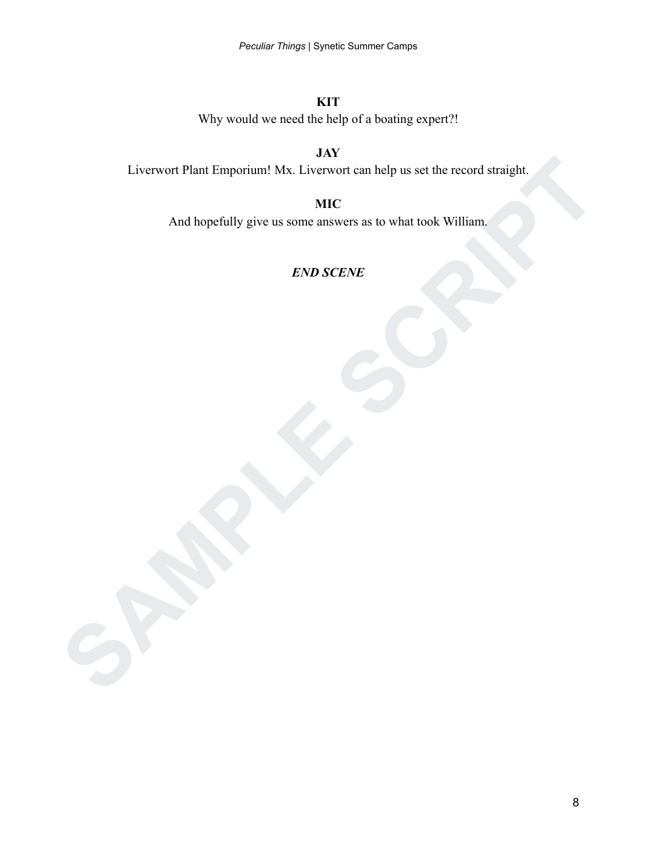**KIT** Why would we need the help of a boating expert?!

**JAY** Liverwort Plant Emporium! Mx. Liverwort can help us set the record straight.

Liverwort Plant Emporium! Mx. Liverwort can help us set the record straight.<br>
And hopefully give us some answers as to what took William.<br>
END SCRNE **MIC** And hopefully give us some answers as to what took William.

## *END SCENE*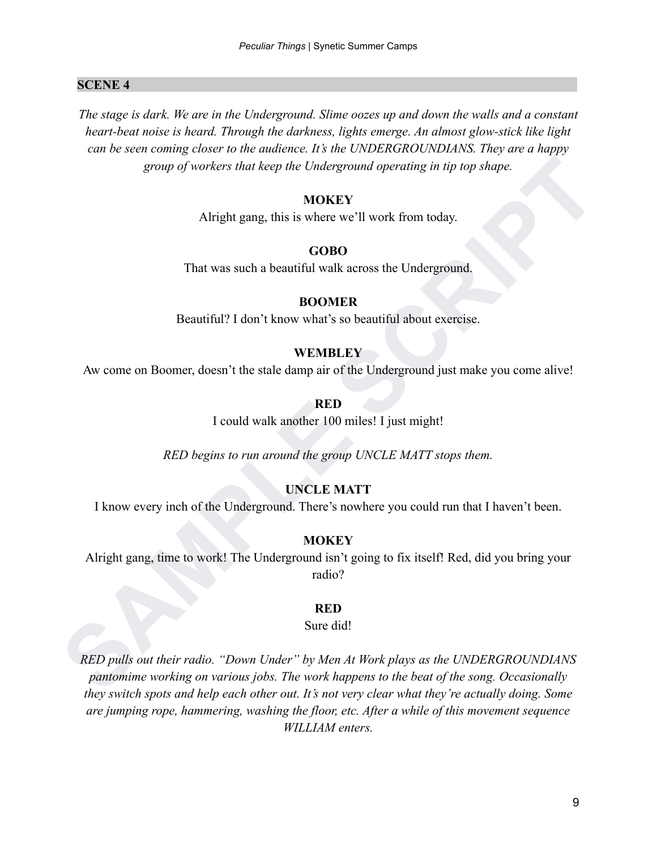#### **SCENE 4 .**

*The stage is dark. We are in the Underground. Slime oozes up and down the walls and a constant heart-beat noise is heard. Through the darkness, lights emerge. An almost glow-stick like light can be seen coming closer to the audience. It's the UNDERGROUNDIANS. They are a happy group of workers that keep the Underground operating in tip top shape.*

#### **MOKEY**

Alright gang, this is where we'll work from today.

#### **GOBO**

That was such a beautiful walk across the Underground.

#### **BOOMER**

Beautiful? I don't know what's so beautiful about exercise.

#### **WEMBLEY**

Aw come on Boomer, doesn't the stale damp air of the Underground just make you come alive!

#### **RED**

I could walk another 100 miles! I just might!

*RED begins to run around the group UNCLE MATT stops them.*

#### **UNCLE MATT**

I know every inch of the Underground. There's nowhere you could run that I haven't been.

#### **MOKEY**

Alright gang, time to work! The Underground isn't going to fix itself! Red, did you bring your radio?

#### **RED**

#### Sure did!

**STORE STATE AND THE CORPORATION CORPORATION**<br> **SAMPLE STATE STATE STATE STATE STATE STATE STATE STATE STATE STATE STATE STATE STATE STATE STATE STATE STATE STATE STATE STATE STATE STATE STATE STATE STATE STATE STATE STATE** *RED pulls out their radio. "Down Under" by Men At Work plays as the UNDERGROUNDIANS pantomime working on various jobs. The work happens to the beat of the song. Occasionally they switch spots and help each other out. It's not very clear what they're actually doing. Some are jumping rope, hammering, washing the floor, etc. After a while of this movement sequence WILLIAM enters.*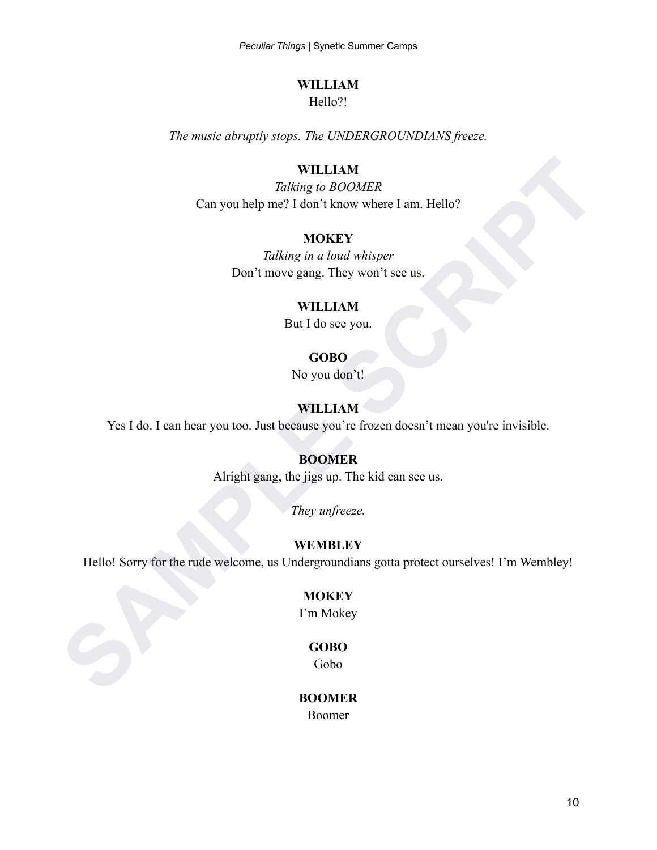#### **WILLIAM**

Hello?!

*The music abruptly stops. The UNDERGROUNDIANS freeze.*

#### **WILLIAM**

**SAMPLE CAN A Tabling to BOOMER<br>
Can you help me? I don't know where I am. Hello?**<br> **SAMPLE SCRIPT SERIPT SCRIPT SCRIPT SCRIPT SCRIPT SCRIPT SCRIPT SCRIPT SCRIPT SCRIPT SCRIPT SCRIPT SCRIPT SCRIPT SCRIPT SCRIPT SCRIPT SCRI** *Talking to BOOMER* Can you help me? I don't know where I am. Hello?

#### **MOKEY**

*Talking in a loud whisper* Don't move gang. They won't see us.

#### **WILLIAM**

But I do see you.

#### **GOBO**

No you don't!

#### **WILLIAM**

Yes I do. I can hear you too. Just because you're frozen doesn't mean you're invisible.

#### **BOOMER**

Alright gang, the jigs up. The kid can see us.

*They unfreeze.*

#### **WEMBLEY**

Hello! Sorry for the rude welcome, us Undergroundians gotta protect ourselves! I'm Wembley!

#### **MOKEY**

I'm Mokey

#### **GOBO**

Gobo

#### **BOOMER**

Boomer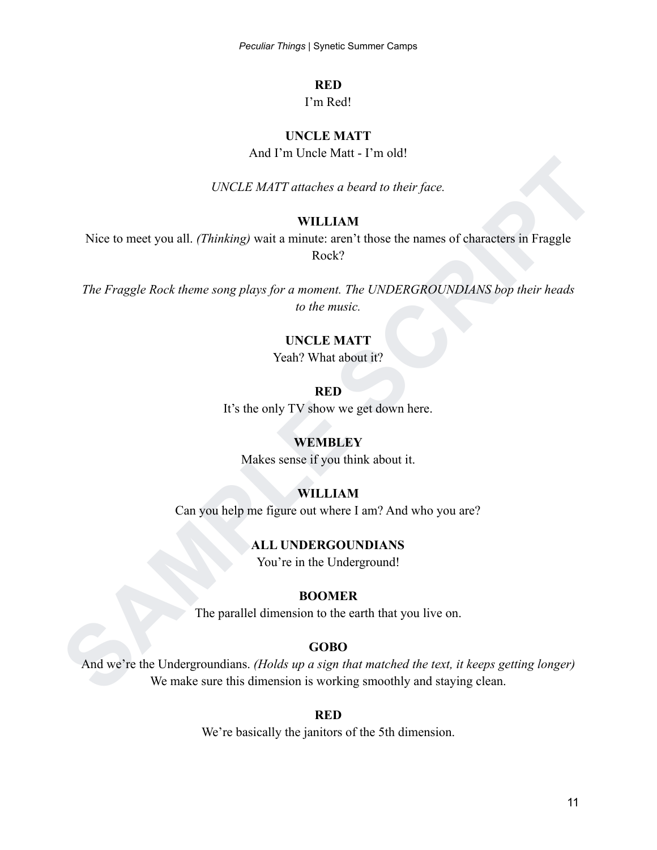#### **RED**

#### I'm Red!

### **UNCLE MATT**

And I'm Uncle Matt - I'm old!

*UNCLE MATT attaches a beard to their face.*

#### **WILLIAM**

Nice to meet you all. *(Thinking)* wait a minute: aren't those the names of characters in Fraggle Rock?

**SAMPLE SCRIP IN THE SET UP:**<br> **SAMPLE SCRIP IN SAMPLE SCRIP IN THE SCRIP IN THE SCRIP IN THE SCRIP IN THE SCRIP IN THE SCRIP IN THE SCRIP IN THE SCRIP IN THE SCRIP IN THE SCRIP IN THE SCRIP IN THE SCRIP IN THE SCRIP IN TH** *The Fraggle Rock theme song plays for a moment. The UNDERGROUNDIANS bop their heads to the music.*

#### **UNCLE MATT**

Yeah? What about it?

#### **RED**

It's the only TV show we get down here.

#### **WEMBLEY**

Makes sense if you think about it.

#### **WILLIAM**

Can you help me figure out where I am? And who you are?

#### **ALL UNDERGOUNDIANS**

You're in the Underground!

#### **BOOMER**

The parallel dimension to the earth that you live on.

#### **GOBO**

And we're the Undergroundians. *(Holds up a sign that matched the text, it keeps getting longer)* We make sure this dimension is working smoothly and staying clean.

#### **RED**

We're basically the janitors of the 5th dimension.